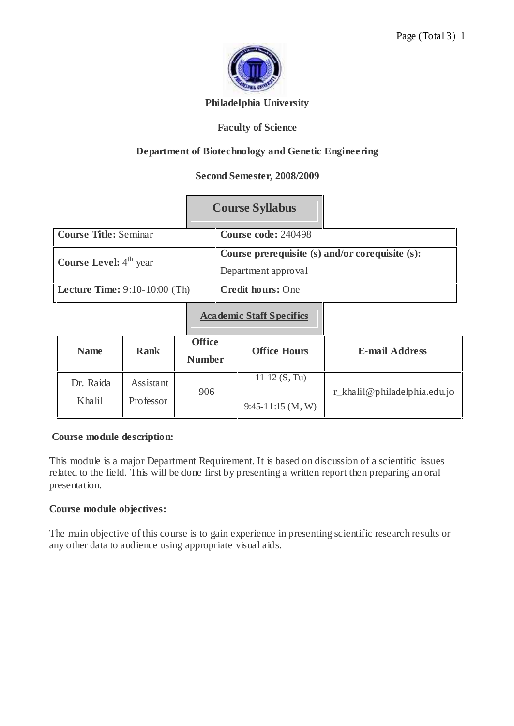

## **Philadelphia University**

# **Faculty of Science**

# **Department of Biotechnology and Genetic Engineering**

# **Second Semester, 2008/2009**

|                                           | <b>Course Syllabus</b>                                                 |
|-------------------------------------------|------------------------------------------------------------------------|
| <b>Course Title: Seminar</b>              | Course code: 240498                                                    |
| <b>Course Level:</b> 4 <sup>th</sup> year | Course prerequisite (s) and/or corequisite (s):<br>Department approval |
| <b>Lecture Time:</b> $9:10-10:00$ (Th)    | <b>Credit hours: One</b>                                               |
|                                           | <b>Academic Staff Specifics</b>                                        |

| <b>Name</b>         | <b>Rank</b>            | <b>Office</b><br><b>Number</b> | <b>Office Hours</b>                    | <b>E-mail Address</b>        |
|---------------------|------------------------|--------------------------------|----------------------------------------|------------------------------|
| Dr. Raida<br>Khalil | Assistant<br>Professor | 906                            | 11-12 $(S, Tu)$<br>$9:45-11:15$ (M, W) | r_khalil@philadelphia.edu.jo |

#### **Course module description:**

This module is a major Department Requirement. It is based on discussion of a scientific issues related to the field. This will be done first by presenting a written report then preparing an oral presentation.

#### **Course module objectives:**

The main objective of this course is to gain experience in presenting scientific research results or any other data to audience using appropriate visual aids.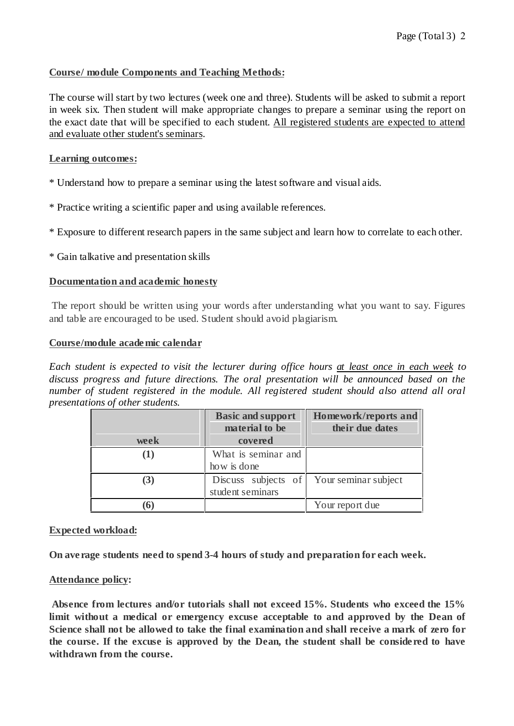## **Course/ module Components and Teaching Methods:**

The course will start by two lectures (week one and three). Students will be asked to submit a report in week six. Then student will make appropriate changes to prepare a seminar using the report on the exact date that will be specified to each student. All registered students are expected to attend and evaluate other student's seminars.

#### **Learning outcomes:**

\* Understand how to prepare a seminar using the latest software and visual aids.

\* Practice writing a scientific paper and using available references.

\* Exposure to different research papers in the same subject and learn how to correlate to each other.

\* Gain talkative and presentation skills

#### **Documentation and academic honesty**

The report should be written using your words after understanding what you want to say. Figures and table are encouraged to be used. Student should avoid plagiarism.

#### **Course/module academic calendar**

*Each student is expected to visit the lecturer during office hours at least once in each week to discuss progress and future directions. The oral presentation will be announced based on the number of student registered in the module. All registered student should also attend all oral presentations of other students.*

|          | <b>Basic and support</b>                | Homework/reports and |  |
|----------|-----------------------------------------|----------------------|--|
|          | material to be                          | their due dates      |  |
| week     | covered                                 |                      |  |
| $\bf(1)$ | What is seminar and                     |                      |  |
|          | how is done                             |                      |  |
| (3)      | Discuss subjects of<br>student seminars | Your seminar subject |  |
| n        |                                         | Your report due      |  |

#### **Expected workload:**

**On ave rage students need to spend 3-4 hours of study and preparation for each week.**

#### **Attendance policy:**

**Absence from lectures and/or tutorials shall not exceed 15%. Students who exceed the 15% limit without a medical or emergency excuse acceptable to and approved by the Dean of Science shall not be allowed to take the final examination and shall receive a mark of zero for the course. If the excuse is approved by the Dean, the student shall be conside red to have withdrawn from the course.**